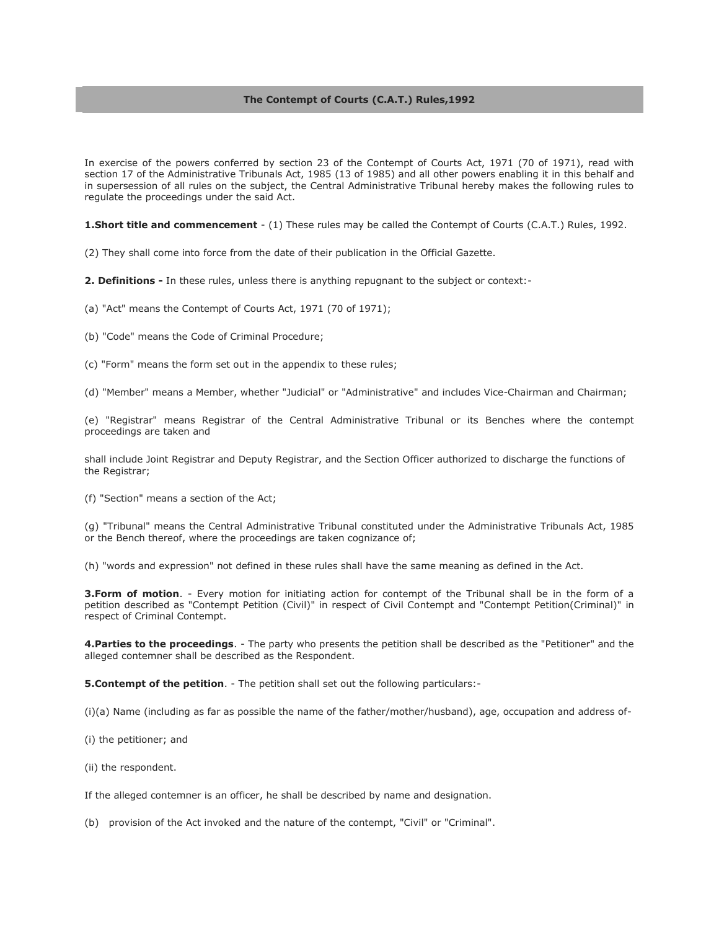### **The Contempt of Courts (C.A.T.) Rules,1992**

In exercise of the powers conferred by section 23 of the Contempt of Courts Act, 1971 (70 of 1971), read with section 17 of the Administrative Tribunals Act, 1985 (13 of 1985) and all other powers enabling it in this behalf and in supersession of all rules on the subject, the Central Administrative Tribunal hereby makes the following rules to regulate the proceedings under the said Act.

**1.Short title and commencement** - (1) These rules may be called the Contempt of Courts (C.A.T.) Rules, 1992.

(2) They shall come into force from the date of their publication in the Official Gazette.

**2. Definitions -** In these rules, unless there is anything repugnant to the subject or context:-

(a) "Act" means the Contempt of Courts Act, 1971 (70 of 1971);

(b) "Code" means the Code of Criminal Procedure;

(c) "Form" means the form set out in the appendix to these rules;

(d) "Member" means a Member, whether "Judicial" or "Administrative" and includes Vice-Chairman and Chairman;

(e) "Registrar" means Registrar of the Central Administrative Tribunal or its Benches where the contempt proceedings are taken and

shall include Joint Registrar and Deputy Registrar, and the Section Officer authorized to discharge the functions of the Registrar;

(f) "Section" means a section of the Act;

(g) "Tribunal" means the Central Administrative Tribunal constituted under the Administrative Tribunals Act, 1985 or the Bench thereof, where the proceedings are taken cognizance of;

(h) "words and expression" not defined in these rules shall have the same meaning as defined in the Act.

**3.Form of motion**. - Every motion for initiating action for contempt of the Tribunal shall be in the form of a petition described as "Contempt Petition (Civil)" in respect of Civil Contempt and "Contempt Petition(Criminal)" in respect of Criminal Contempt.

**4.Parties to the proceedings**. - The party who presents the petition shall be described as the "Petitioner" and the alleged contemner shall be described as the Respondent.

**5. Contempt of the petition**. - The petition shall set out the following particulars:-

(i)(a) Name (including as far as possible the name of the father/mother/husband), age, occupation and address of-

(i) the petitioner; and

(ii) the respondent.

If the alleged contemner is an officer, he shall be described by name and designation.

(b) provision of the Act invoked and the nature of the contempt, "Civil" or "Criminal".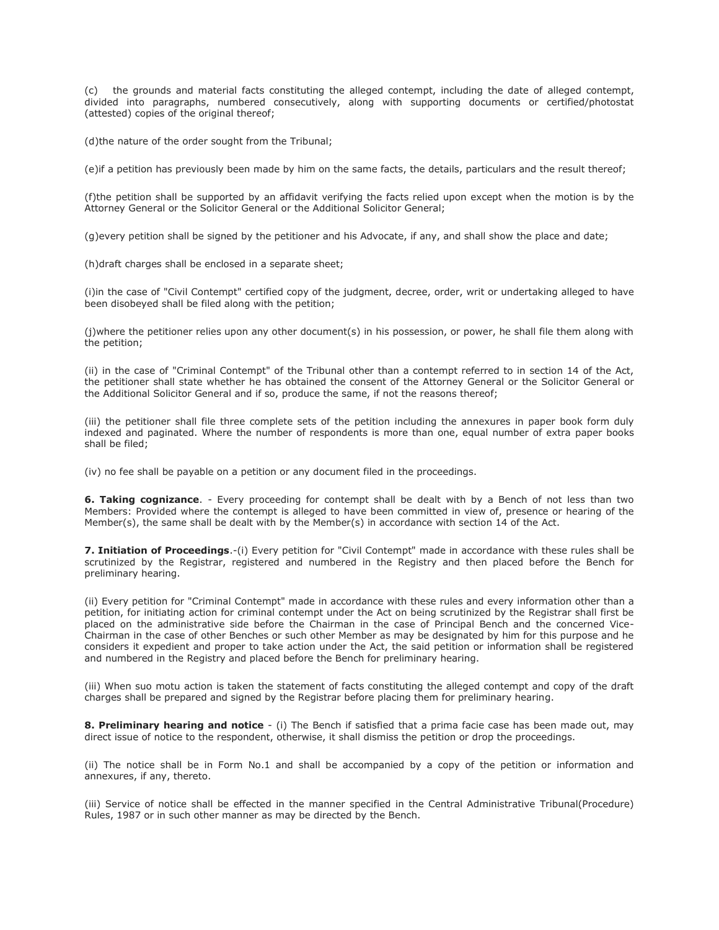(c) the grounds and material facts constituting the alleged contempt, including the date of alleged contempt, divided into paragraphs, numbered consecutively, along with supporting documents or certified/photostat (attested) copies of the original thereof;

(d)the nature of the order sought from the Tribunal;

(e)if a petition has previously been made by him on the same facts, the details, particulars and the result thereof;

(f)the petition shall be supported by an affidavit verifying the facts relied upon except when the motion is by the Attorney General or the Solicitor General or the Additional Solicitor General;

(g)every petition shall be signed by the petitioner and his Advocate, if any, and shall show the place and date;

(h)draft charges shall be enclosed in a separate sheet;

(i)in the case of "Civil Contempt" certified copy of the judgment, decree, order, writ or undertaking alleged to have been disobeyed shall be filed along with the petition;

(j)where the petitioner relies upon any other document(s) in his possession, or power, he shall file them along with the petition;

(ii) in the case of "Criminal Contempt" of the Tribunal other than a contempt referred to in section 14 of the Act, the petitioner shall state whether he has obtained the consent of the Attorney General or the Solicitor General or the Additional Solicitor General and if so, produce the same, if not the reasons thereof;

(iii) the petitioner shall file three complete sets of the petition including the annexures in paper book form duly indexed and paginated. Where the number of respondents is more than one, equal number of extra paper books shall be filed;

(iv) no fee shall be payable on a petition or any document filed in the proceedings.

**6. Taking cognizance**. - Every proceeding for contempt shall be dealt with by a Bench of not less than two Members: Provided where the contempt is alleged to have been committed in view of, presence or hearing of the Member(s), the same shall be dealt with by the Member(s) in accordance with section 14 of the Act.

**7. Initiation of Proceedings**.-(i) Every petition for "Civil Contempt" made in accordance with these rules shall be scrutinized by the Registrar, registered and numbered in the Registry and then placed before the Bench for preliminary hearing.

(ii) Every petition for "Criminal Contempt" made in accordance with these rules and every information other than a petition, for initiating action for criminal contempt under the Act on being scrutinized by the Registrar shall first be placed on the administrative side before the Chairman in the case of Principal Bench and the concerned Vice-Chairman in the case of other Benches or such other Member as may be designated by him for this purpose and he considers it expedient and proper to take action under the Act, the said petition or information shall be registered and numbered in the Registry and placed before the Bench for preliminary hearing.

(iii) When suo motu action is taken the statement of facts constituting the alleged contempt and copy of the draft charges shall be prepared and signed by the Registrar before placing them for preliminary hearing.

**8. Preliminary hearing and notice** - (i) The Bench if satisfied that a prima facie case has been made out, may direct issue of notice to the respondent, otherwise, it shall dismiss the petition or drop the proceedings.

(ii) The notice shall be in Form No.1 and shall be accompanied by a copy of the petition or information and annexures, if any, thereto.

(iii) Service of notice shall be effected in the manner specified in the Central Administrative Tribunal(Procedure) Rules, 1987 or in such other manner as may be directed by the Bench.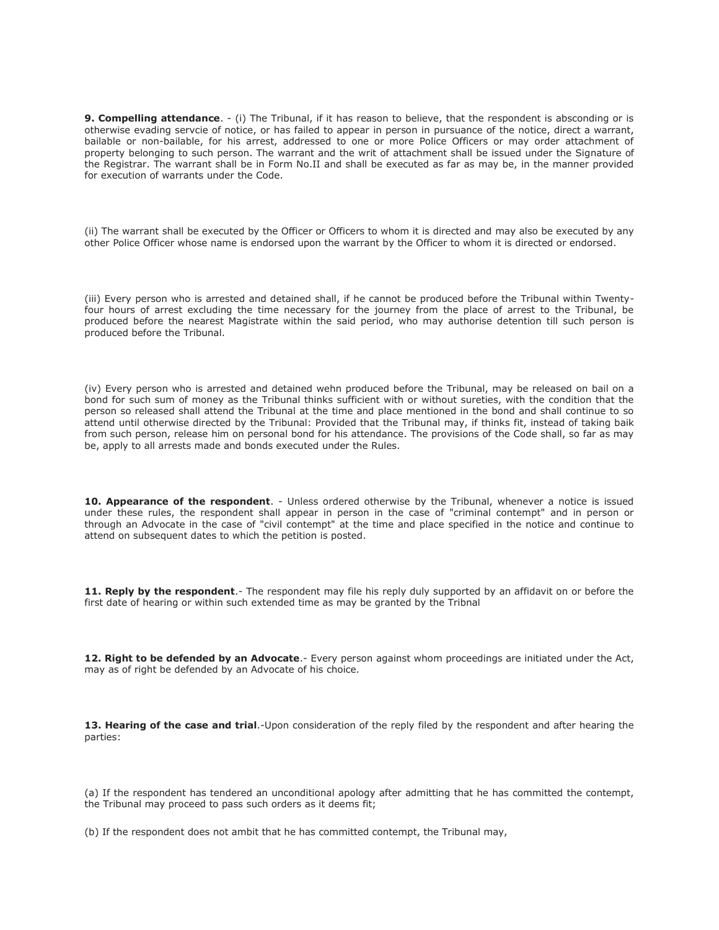**9. Compelling attendance**. - (i) The Tribunal, if it has reason to believe, that the respondent is absconding or is otherwise evading servcie of notice, or has failed to appear in person in pursuance of the notice, direct a warrant, bailable or non-bailable, for his arrest, addressed to one or more Police Officers or may order attachment of property belonging to such person. The warrant and the writ of attachment shall be issued under the Signature of the Registrar. The warrant shall be in Form No.II and shall be executed as far as may be, in the manner provided for execution of warrants under the Code.

(ii) The warrant shall be executed by the Officer or Officers to whom it is directed and may also be executed by any other Police Officer whose name is endorsed upon the warrant by the Officer to whom it is directed or endorsed.

(iii) Every person who is arrested and detained shall, if he cannot be produced before the Tribunal within Twentyfour hours of arrest excluding the time necessary for the journey from the place of arrest to the Tribunal, be produced before the nearest Magistrate within the said period, who may authorise detention till such person is produced before the Tribunal.

(iv) Every person who is arrested and detained wehn produced before the Tribunal, may be released on bail on a bond for such sum of money as the Tribunal thinks sufficient with or without sureties, with the condition that the person so released shall attend the Tribunal at the time and place mentioned in the bond and shall continue to so attend until otherwise directed by the Tribunal: Provided that the Tribunal may, if thinks fit, instead of taking baik from such person, release him on personal bond for his attendance. The provisions of the Code shall, so far as may be, apply to all arrests made and bonds executed under the Rules.

**10. Appearance of the respondent**. - Unless ordered otherwise by the Tribunal, whenever a notice is issued under these rules, the respondent shall appear in person in the case of "criminal contempt" and in person or through an Advocate in the case of "civil contempt" at the time and place specified in the notice and continue to attend on subsequent dates to which the petition is posted.

**11. Reply by the respondent**.- The respondent may file his reply duly supported by an affidavit on or before the first date of hearing or within such extended time as may be granted by the Tribnal

**12. Right to be defended by an Advocate**.- Every person against whom proceedings are initiated under the Act, may as of right be defended by an Advocate of his choice.

**13. Hearing of the case and trial**.-Upon consideration of the reply filed by the respondent and after hearing the parties:

(a) If the respondent has tendered an unconditional apology after admitting that he has committed the contempt, the Tribunal may proceed to pass such orders as it deems fit;

(b) If the respondent does not ambit that he has committed contempt, the Tribunal may,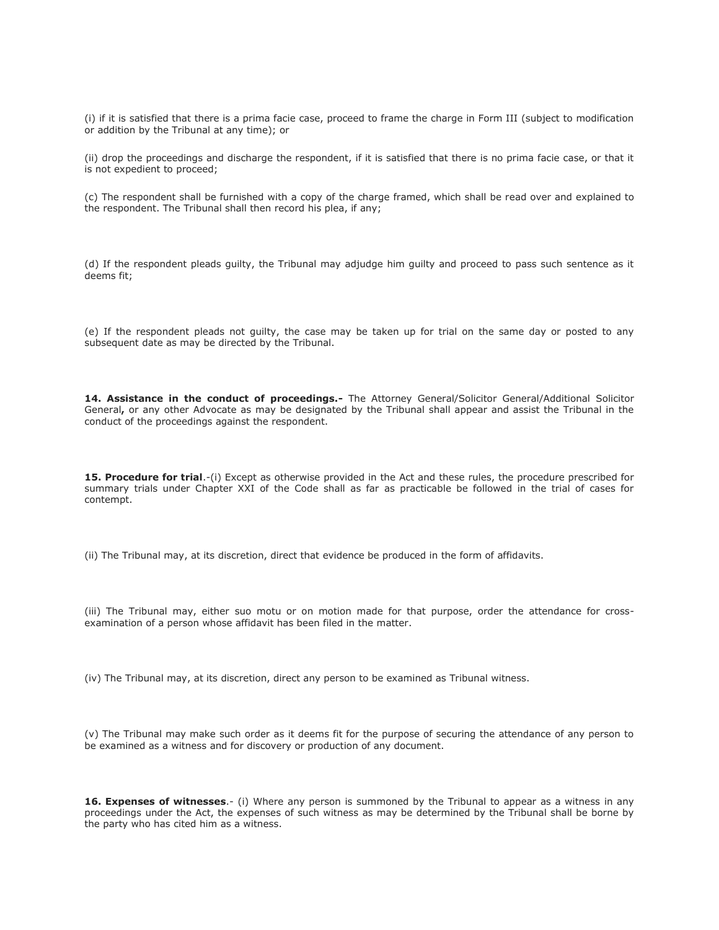(i) if it is satisfied that there is a prima facie case, proceed to frame the charge in Form III (subject to modification or addition by the Tribunal at any time); or

(ii) drop the proceedings and discharge the respondent, if it is satisfied that there is no prima facie case, or that it is not expedient to proceed;

(c) The respondent shall be furnished with a copy of the charge framed, which shall be read over and explained to the respondent. The Tribunal shall then record his plea, if any;

(d) If the respondent pleads guilty, the Tribunal may adjudge him guilty and proceed to pass such sentence as it deems fit;

(e) If the respondent pleads not guilty, the case may be taken up for trial on the same day or posted to any subsequent date as may be directed by the Tribunal.

14. Assistance in the conduct of proceedings.- The Attorney General/Solicitor General/Additional Solicitor General**,** or any other Advocate as may be designated by the Tribunal shall appear and assist the Tribunal in the conduct of the proceedings against the respondent.

**15. Procedure for trial**.-(i) Except as otherwise provided in the Act and these rules, the procedure prescribed for summary trials under Chapter XXI of the Code shall as far as practicable be followed in the trial of cases for contempt.

(ii) The Tribunal may, at its discretion, direct that evidence be produced in the form of affidavits.

(iii) The Tribunal may, either suo motu or on motion made for that purpose, order the attendance for crossexamination of a person whose affidavit has been filed in the matter.

(iv) The Tribunal may, at its discretion, direct any person to be examined as Tribunal witness.

(v) The Tribunal may make such order as it deems fit for the purpose of securing the attendance of any person to be examined as a witness and for discovery or production of any document.

16. Expenses of witnesses.- (i) Where any person is summoned by the Tribunal to appear as a witness in any proceedings under the Act, the expenses of such witness as may be determined by the Tribunal shall be borne by the party who has cited him as a witness.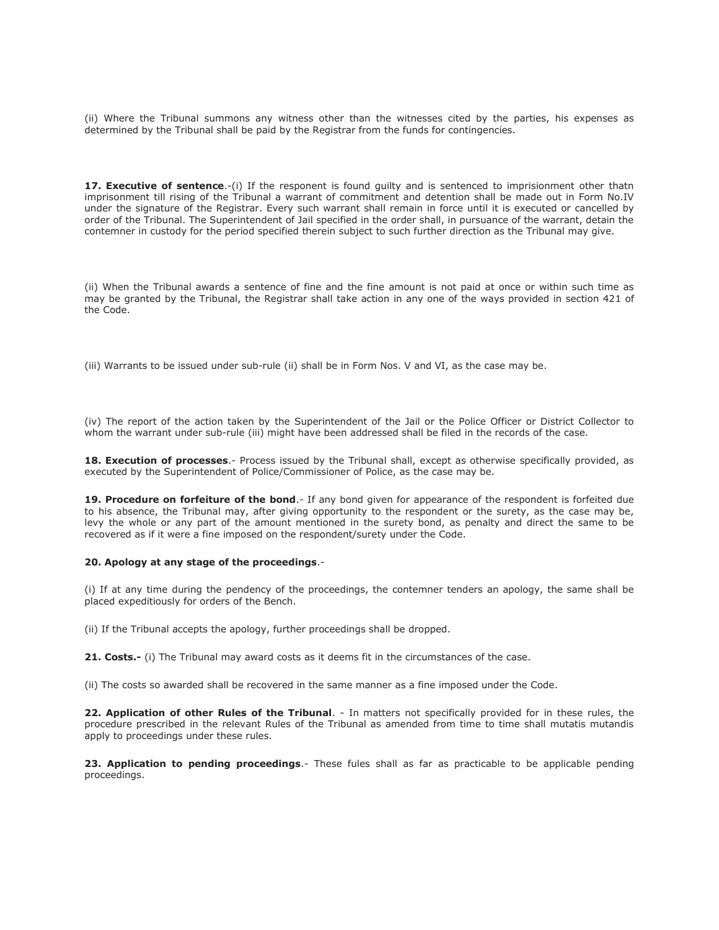(ii) Where the Tribunal summons any witness other than the witnesses cited by the parties, his expenses as determined by the Tribunal shall be paid by the Registrar from the funds for contingencies.

**17. Executive of sentence.**-(i) If the responent is found guilty and is sentenced to imprisionment other thatn imprisonment till rising of the Tribunal a warrant of commitment and detention shall be made out in Form No.IV under the signature of the Registrar. Every such warrant shall remain in force until it is executed or cancelled by order of the Tribunal. The Superintendent of Jail specified in the order shall, in pursuance of the warrant, detain the contemner in custody for the period specified therein subject to such further direction as the Tribunal may give.

(ii) When the Tribunal awards a sentence of fine and the fine amount is not paid at once or within such time as may be granted by the Tribunal, the Registrar shall take action in any one of the ways provided in section 421 of the Code.

(iii) Warrants to be issued under sub-rule (ii) shall be in Form Nos. V and VI, as the case may be.

(iv) The report of the action taken by the Superintendent of the Jail or the Police Officer or District Collector to whom the warrant under sub-rule (iii) might have been addressed shall be filed in the records of the case.

**18. Execution of processes**.- Process issued by the Tribunal shall, except as otherwise specifically provided, as executed by the Superintendent of Police/Commissioner of Police, as the case may be.

**19. Procedure on forfeiture of the bond**.- If any bond given for appearance of the respondent is forfeited due to his absence, the Tribunal may, after giving opportunity to the respondent or the surety, as the case may be, levy the whole or any part of the amount mentioned in the surety bond, as penalty and direct the same to be recovered as if it were a fine imposed on the respondent/surety under the Code.

#### **20. Apology at any stage of the proceedings**.-

(i) If at any time during the pendency of the proceedings, the contemner tenders an apology, the same shall be placed expeditiously for orders of the Bench.

(ii) If the Tribunal accepts the apology, further proceedings shall be dropped.

**21. Costs.-** (i) The Tribunal may award costs as it deems fit in the circumstances of the case.

(ii) The costs so awarded shall be recovered in the same manner as a fine imposed under the Code.

**22. Application of other Rules of the Tribunal**. - In matters not specifically provided for in these rules, the procedure prescribed in the relevant Rules of the Tribunal as amended from time to time shall mutatis mutandis apply to proceedings under these rules.

23. Application to pending proceedings.- These fules shall as far as practicable to be applicable pending proceedings.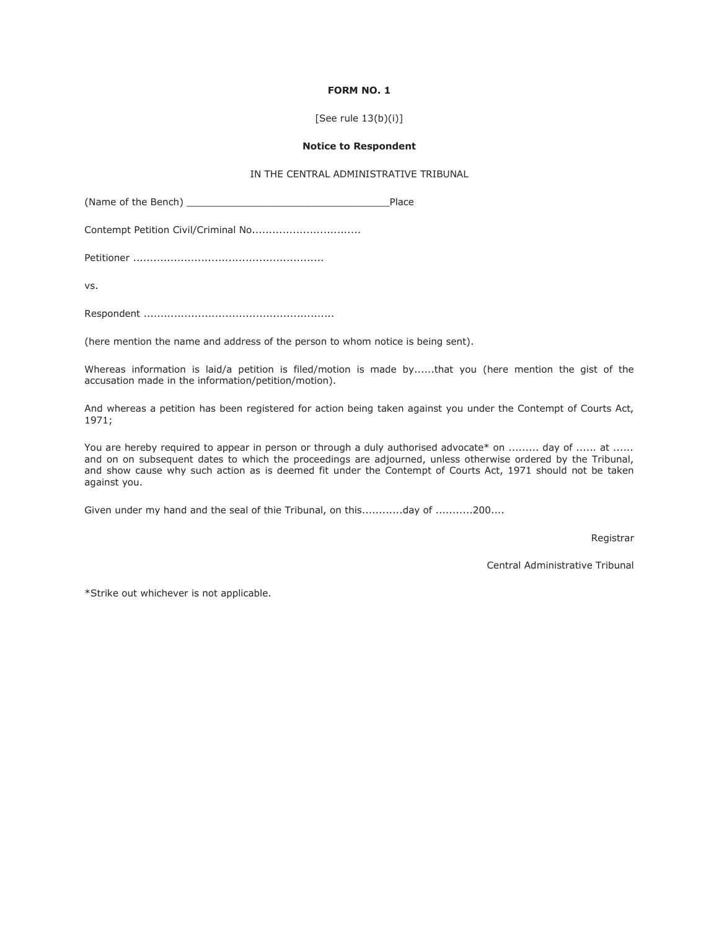### **FORM NO. 1**

#### [See rule 13(b)(i)]

#### **Notice to Respondent**

# IN THE CENTRAL ADMINISTRATIVE TRIBUNAL

(Name of the Bench) example of the Bench)

Contempt Petition Civil/Criminal No................................

Petitioner ........................................................

vs.

Respondent ........................................................

(here mention the name and address of the person to whom notice is being sent).

Whereas information is laid/a petition is filed/motion is made by......that you (here mention the gist of the accusation made in the information/petition/motion).

And whereas a petition has been registered for action being taken against you under the Contempt of Courts Act, 1971;

You are hereby required to appear in person or through a duly authorised advocate\* on ......... day of ...... at ...... and on on subsequent dates to which the proceedings are adjourned, unless otherwise ordered by the Tribunal, and show cause why such action as is deemed fit under the Contempt of Courts Act, 1971 should not be taken against you.

Given under my hand and the seal of thie Tribunal, on this............day of ...........200....

Registrar

Central Administrative Tribunal

\*Strike out whichever is not applicable.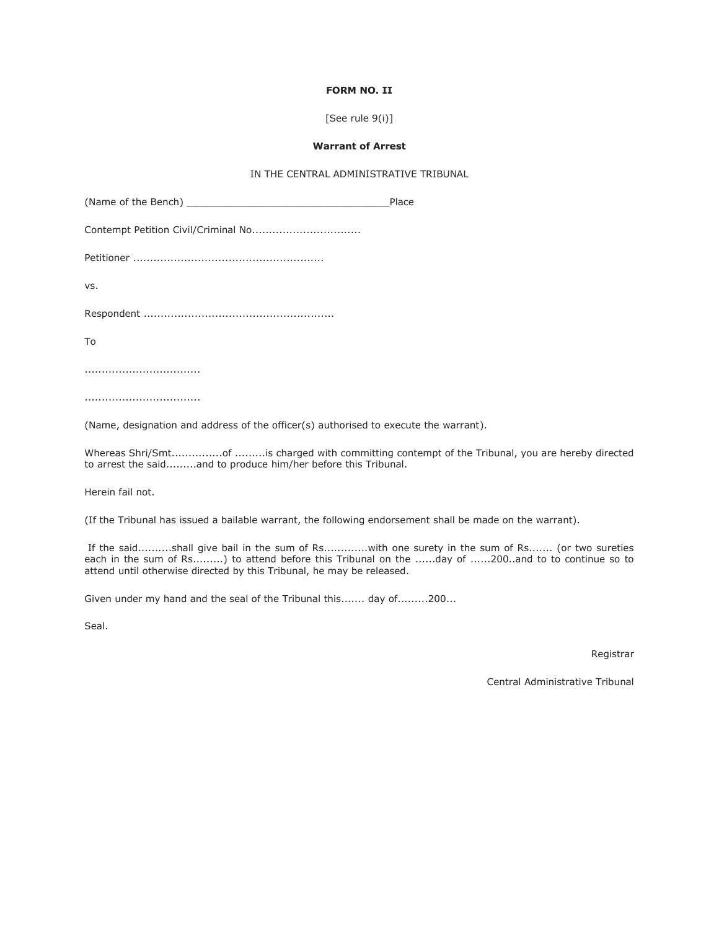### **FORM NO. II**

[See rule 9(i)]

#### **Warrant of Arrest**

# IN THE CENTRAL ADMINISTRATIVE TRIBUNAL

|     | Place |
|-----|-------|
|     |       |
|     |       |
| VS. |       |
|     |       |
| Tο  |       |
|     |       |

..................................

(Name, designation and address of the officer(s) authorised to execute the warrant).

Whereas Shri/Smt...............of .........is charged with committing contempt of the Tribunal, you are hereby directed to arrest the said.........and to produce him/her before this Tribunal.

Herein fail not.

(If the Tribunal has issued a bailable warrant, the following endorsement shall be made on the warrant).

If the said..........shall give bail in the sum of Rs.............with one surety in the sum of Rs....... (or two sureties each in the sum of Rs.........) to attend before this Tribunal on the ......day of ......200..and to to continue so to attend until otherwise directed by this Tribunal, he may be released.

Given under my hand and the seal of the Tribunal this....... day of.........200...

Seal.

Registrar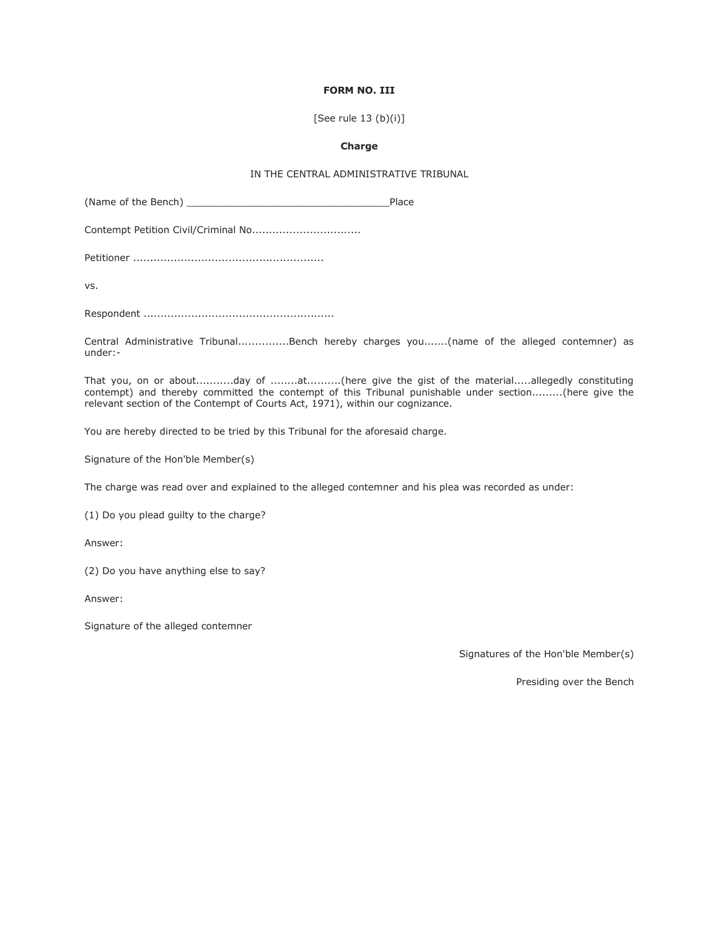## **FORM NO. III**

[See rule 13 (b)(i)]

#### **Charge**

# IN THE CENTRAL ADMINISTRATIVE TRIBUNAL

(Name of the Bench) example of the Bench)

Contempt Petition Civil/Criminal No................................

Petitioner ........................................................

vs.

Respondent ........................................................

Central Administrative Tribunal...............Bench hereby charges you.......(name of the alleged contemner) as under:-

That you, on or about...........day of ........at..........(here give the gist of the material.....allegedly constituting contempt) and thereby committed the contempt of this Tribunal punishable under section.........(here give the relevant section of the Contempt of Courts Act, 1971), within our cognizance.

You are hereby directed to be tried by this Tribunal for the aforesaid charge.

Signature of the Hon'ble Member(s)

The charge was read over and explained to the alleged contemner and his plea was recorded as under:

(1) Do you plead guilty to the charge?

Answer:

(2) Do you have anything else to say?

Answer:

Signature of the alleged contemner

Signatures of the Hon'ble Member(s)

Presiding over the Bench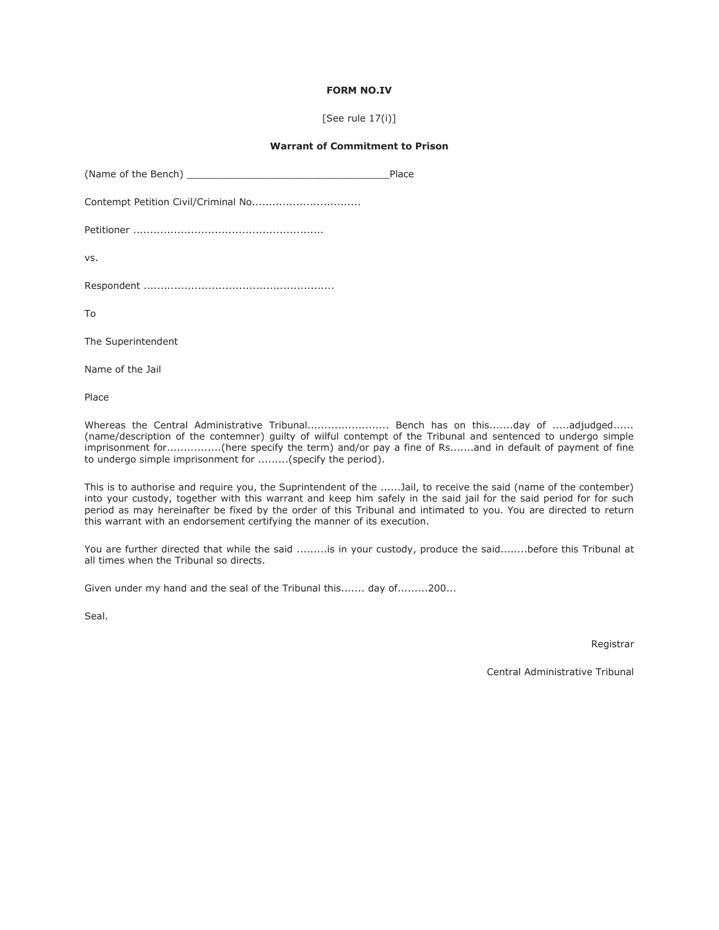### **FORM NO.IV**

[See rule 17(i)]

#### **Warrant of Commitment to Prison**

|                    | Place |
|--------------------|-------|
|                    |       |
|                    |       |
| VS.                |       |
|                    |       |
| Tο                 |       |
| The Superintendent |       |
|                    |       |

Name of the Jail

Place

Whereas the Central Administrative Tribunal.......................... Bench has on this.......day of .....adjudged...... (name/description of the contemner) guilty of wilful contempt of the Tribunal and sentenced to undergo simple imprisonment for................(here specify the term) and/or pay a fine of Rs.......and in default of payment of fine to undergo simple imprisonment for .........(specify the period).

This is to authorise and require you, the Suprintendent of the ......Jail, to receive the said (name of the contember) into your custody, together with this warrant and keep him safely in the said jail for the said period for for such period as may hereinafter be fixed by the order of this Tribunal and intimated to you. You are directed to return this warrant with an endorsement certifying the manner of its execution.

You are further directed that while the said .........is in your custody, produce the said........before this Tribunal at all times when the Tribunal so directs.

Given under my hand and the seal of the Tribunal this....... day of.........200...

Seal.

Registrar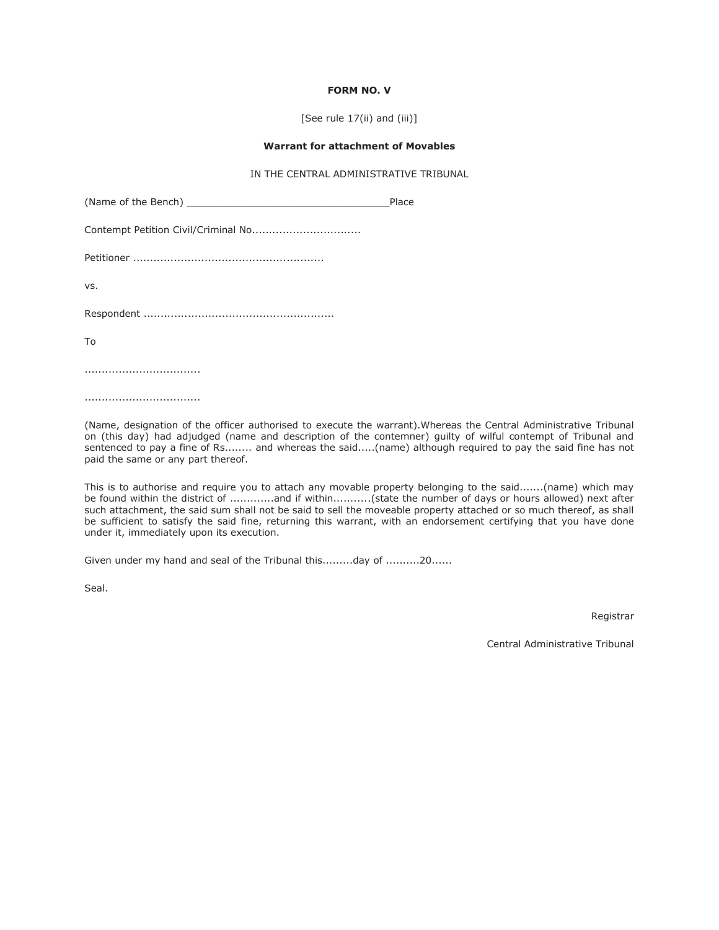### **FORM NO. V**

[See rule 17(ii) and (iii)]

#### **Warrant for attachment of Movables**

# IN THE CENTRAL ADMINISTRATIVE TRIBUNAL

|     | Place |
|-----|-------|
|     |       |
|     |       |
| VS. |       |
|     |       |
| To  |       |
|     |       |

..................................

(Name, designation of the officer authorised to execute the warrant).Whereas the Central Administrative Tribunal on (this day) had adjudged (name and description of the contemner) guilty of wilful contempt of Tribunal and sentenced to pay a fine of Rs........ and whereas the said.....(name) although required to pay the said fine has not paid the same or any part thereof.

This is to authorise and require you to attach any movable property belonging to the said.......(name) which may be found within the district of .............and if within...........(state the number of days or hours allowed) next after such attachment, the said sum shall not be said to sell the moveable property attached or so much thereof, as shall be sufficient to satisfy the said fine, returning this warrant, with an endorsement certifying that you have done under it, immediately upon its execution.

Given under my hand and seal of the Tribunal this.........day of ..........20......

Seal.

Registrar